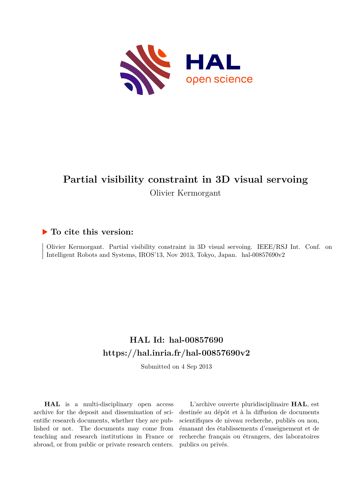

# **Partial visibility constraint in 3D visual servoing** Olivier Kermorgant

## **To cite this version:**

Olivier Kermorgant. Partial visibility constraint in 3D visual servoing. IEEE/RSJ Int. Conf. on Intelligent Robots and Systems, IROS'13, Nov 2013, Tokyo, Japan. hal-00857690v2

## **HAL Id: hal-00857690 <https://hal.inria.fr/hal-00857690v2>**

Submitted on 4 Sep 2013

**HAL** is a multi-disciplinary open access archive for the deposit and dissemination of scientific research documents, whether they are published or not. The documents may come from teaching and research institutions in France or abroad, or from public or private research centers.

L'archive ouverte pluridisciplinaire **HAL**, est destinée au dépôt et à la diffusion de documents scientifiques de niveau recherche, publiés ou non, émanant des établissements d'enseignement et de recherche français ou étrangers, des laboratoires publics ou privés.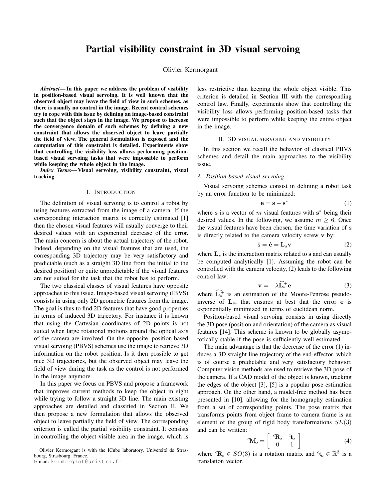### Partial visibility constraint in 3D visual servoing

Olivier Kermorgant

*Abstract*— In this paper we address the problem of visibility in position-based visual servoing. It is well known that the observed object may leave the field of view in such schemes, as there is usually no control in the image. Recent control schemes try to cope with this issue by defining an image-based constraint such that the object stays in the image. We propose to increase the convergence domain of such schemes by defining a new constraint that allows the observed object to leave partially the field of view. The general formulation is exposed and the computation of this constraint is detailed. Experiments show that controlling the visibility loss allows performing positionbased visual servoing tasks that were impossible to perform while keeping the whole object in the image.

*Index Terms*— Visual servoing, visibility constraint, visual tracking

#### I. INTRODUCTION

The definition of visual servoing is to control a robot by using features extracted from the image of a camera. If the corresponding interaction matrix is correctly estimated [1] then the chosen visual features will usually converge to their desired values with an exponential decrease of the error. The main concern is about the actual trajectory of the robot. Indeed, depending on the visual features that are used, the corresponding 3D trajectory may be very satisfactory and predictable (such as a straight 3D line from the initial to the desired position) or quite unpredictable if the visual features are not suited for the task that the robot has to perform.

The two classical classes of visual features have opposite approaches to this issue. Image-based visual servoing (IBVS) consists in using only 2D geometric features from the image. The goal is thus to find 2D features that have good properties in terms of induced 3D trajectory. For instance it is known that using the Cartesian coordinates of 2D points is not suited when large rotational motions around the optical axis of the camera are involved. On the opposite, position-based visual servoing (PBVS) schemes use the image to retrieve 3D information on the robot position. Is it then possible to get nice 3D trajectories, but the observed object may leave the field of view during the task as the control is not performed in the image anymore.

In this paper we focus on PBVS and propose a framework that improves current methods to keep the object in sight while trying to follow a straight 3D line. The main existing approaches are detailed and classified in Section II. We then propose a new formulation that allows the observed object to leave partially the field of view. The corresponding criterion is called the partial visibility constraint. It consists in controlling the object visible area in the image, which is

Olivier Kermorgant is with the ICube laboratory, Université de Strasbourg, Strasbourg, France.

E-mail: kermorgant@unistra.fr

less restrictive than keeping the whole object visible. This criterion is detailed in Section III with the corresponding control law. Finally, experiments show that controlling the visibility loss allows performing position-based tasks that were impossible to perform while keeping the entire object in the image.

#### II. 3D VISUAL SERVOING AND VISIBILITY

In this section we recall the behavior of classical PBVS schemes and detail the main approaches to the visibility issue.

#### *A. Position-based visual servoing*

Visual servoing schemes consist in defining a robot task by an error function to be minimized:

$$
\mathbf{e} = \mathbf{s} - \mathbf{s}^* \tag{1}
$$

where s is a vector of  $m$  visual features with  $s^*$  being their desired values. In the following, we assume  $m > 6$ . Once the visual features have been chosen, the time variation of s is directly related to the camera velocity screw v by:

$$
\dot{\mathbf{s}} = \dot{\mathbf{e}} = \mathbf{L}_s \mathbf{v} \tag{2}
$$

where  $\mathbf{L}_s$  is the interaction matrix related to s and can usually be computed analytically [1]. Assuming the robot can be controlled with the camera velocity, (2) leads to the following control law:

$$
\mathbf{v} = -\lambda \widehat{\mathbf{L}_s} \mathbf{e}
$$
 (3)

where  $\mathbf{\hat{L}}_s^+$  is an estimation of the Moore-Penrose pseudoinverse of  $L_s$ , that ensures at best that the error e is exponentially minimized in terms of euclidean norm.

Position-based visual servoing consists in using directly the 3D pose (position and orientation) of the camera as visual features [14]. This scheme is known to be globally asymptotically stable if the pose is sufficiently well estimated.

The main advantage is that the decrease of the error (1) induces a 3D straight line trajectory of the end-effector, which is of course a predictable and very satisfactory behavior. Computer vision methods are used to retrieve the 3D pose of the camera. If a CAD model of the object is known, tracking the edges of the object [3], [5] is a popular pose estimation approach. On the other hand, a model-free method has been presented in [10], allowing for the homography estimation from a set of corresponding points. The pose matrix that transforms points from object frame to camera frame is an element of the group of rigid body transformations  $SE(3)$ and can be written:

$$
{}^{c}\mathbf{M}_{o} = \left[ \begin{array}{cc} {}^{c}\mathbf{R}_{o} & {}^{c}\mathbf{t}_{o} \\ 0 & 1 \end{array} \right] \tag{4}
$$

where  ${}^c\mathbf{R}_o \in SO(3)$  is a rotation matrix and  ${}^c\mathbf{t}_o \in \mathbb{R}^3$  is a translation vector.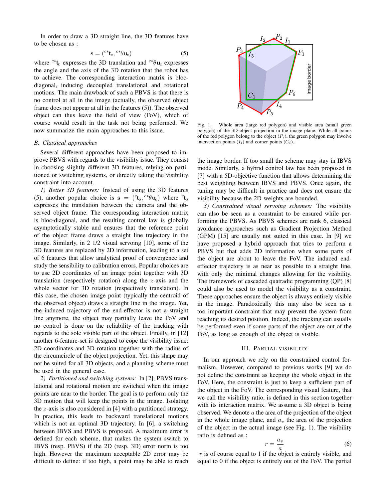In order to draw a 3D straight line, the 3D features have to be chosen as :

$$
\mathbf{s} = (c^* \mathbf{t}_c, c^* \theta \mathbf{u}_c) \tag{5}
$$

where <sup>c∗</sup>t<sub>c</sub> expresses the 3D translation and <sup>c∗</sup> $\theta$ **u**<sub>c</sub> expresses the angle and the axis of the 3D rotation that the robot has to achieve. The corresponding interaction matrix is blocdiagonal, inducing decoupled translational and rotational motions. The main drawback of such a PBVS is that there is no control at all in the image (actually, the observed object frame does not appear at all in the features (5)). The observed object can thus leave the field of view (FoV), which of course would result in the task not being performed. We now summarize the main approaches to this issue.

#### *B. Classical approaches*

Several different approaches have been proposed to improve PBVS with regards to the visibility issue. They consist in choosing slightly different 3D features, relying on partitioned or switching systems, or directly taking the visibility constraint into account.

*1) Better 3D features:* Instead of using the 3D features (5), another popular choice is  $s = (c_{\mathbf{t}_0}, c * \theta \mathbf{u}_c)$  where  $c_{\mathbf{t}_0}$ expresses the translation between the camera and the observed object frame. The corresponding interaction matrix is bloc-diagonal, and the resulting control law is globally asymptotically stable and ensures that the reference point of the object frame draws a straight line trajectory in the image. Similarly, in 2 1/2 visual servoing [10], some of the 3D features are replaced by 2D information, leading to a set of 6 features that allow analytical proof of convergence and study the sensibility to calibration errors. Popular choices are to use 2D coordinates of an image point together with 3D translation (respectively rotation) along the z-axis and the whole vector for 3D rotation (respectively translation). In this case, the chosen image point (typically the centroid of the observed object) draws a straight line in the image. Yet, the induced trajectory of the end-effector is not a straight line anymore, the object may partially leave the FoV and no control is done on the reliability of the tracking with regards to the sole visible part of the object. Finally, in [12] another 6-feature-set is designed to cope the visibility issue: 2D coordinates and 3D rotation together with the radius of the circumcircle of the object projection. Yet, this shape may not be suited for all 3D objects, and a planning scheme must be used in the general case. the may be maintain in the cost of the Silvery in the may be able to the silvery and the silvery also the silvery also the silvery also the silvery also the silvery also the silvery also the silvery also the silvery also

*2) Partitioned and switching systems:* In [2], PBVS translational and rotational motion are switched when the image points are near to the border. The goal is to perform only the 3D motion that will keep the points in the image. Isolating the z-axis is also considered in [4] with a partitioned strategy. In practice, this leads to backward translational motions which is not an optimal 3D trajectory. In [6], a switching between IBVS and PBVS is proposed. A maximum error is defined for each scheme, that makes the system switch to IBVS (resp. PBVS) if the 2D (resp. 3D) error norm is too high. However the maximum acceptable 2D error may be



Fig. 1. Whole area (large red polygon) and visible area (small green polygon) of the 3D object projection in the image plane. While all points of the red polygon belong to the object  $(P_i)$ , the green polygon may involve intersection points  $(I_i)$  and corner points  $(C_i)$ .

the image border. If too small the scheme may stay in IBVS mode. Similarly, a hybrid control law has been proposed in [7] with a 5D-objective function that allows determining the best weighting between IBVS and PBVS. Once again, the tuning may be difficult in practice and does not ensure the visibility because the 2D weights are bounded.

*3) Constrained visual servoing schemes:* The visibility can also be seen as a constraint to be ensured while performing the PBVS. As PBVS schemes are rank 6, classical avoidance approaches such as Gradient Projection Method (GPM) [15] are usually not suited in this case. In [9] we have proposed a hybrid approach that tries to perform a PBVS but that adds 2D information when some parts of the object are about to leave the FoV. The induced endeffector trajectory is as near as possible to a straight line, with only the minimal changes allowing for the visibility. The framework of cascaded quatradic programming (QP) [8] could also be used to model the visibility as a constraint. These approaches ensure the object is always entirely visible in the image. Paradoxically this may also be seen as a too important constraint that may prevent the system from reaching its desired position. Indeed, the tracking can usually be performed even if some parts of the object are out of the FoV, as long as enough of the object is visible.

#### III. PARTIAL VISIBILITY

In our approach we rely on the constrained control formalism. However, compared to previous works [9] we do not define the constraint as keeping the whole object in the FoV. Here, the constraint is just to keep a sufficient part of the object in the FoV. The corresponding visual feature, that we call the visibility ratio, is defined in this section together with its interaction matrix. We assume a 3D object is being observed. We denote  $a$  the area of the projection of the object in the whole image plane, and  $a<sub>v</sub>$  the area of the projection of the object in the actual image (see Fig. 1). The visibility ratio is defined as :

$$
r = \frac{a_v}{a} \tag{6}
$$

 $r$  is of course equal to 1 if the object is entirely visible, and equal to 0 if the object is entirely out of the FoV. The partial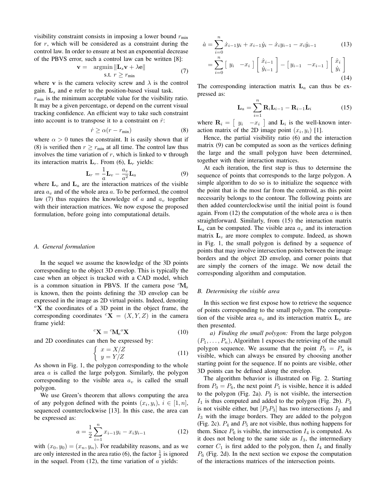visibility constraint consists in imposing a lower bound  $r_{\text{min}}$ for  $r$ , which will be considered as a constraint during the control law. In order to ensure at best an exponential decrease of the PBVS error, such a control law can be written [8]:

$$
\mathbf{v} = \underset{\text{s.t.} \ r \ge r_{\text{min}}}{\text{argmin}} \|\mathbf{L}_s \mathbf{v} + \lambda \mathbf{e}\|
$$
\n(7)

where v is the camera velocity screw and  $\lambda$  is the control gain.  $L_s$  and e refer to the position-based visual task.

 $r_{\text{min}}$  is the minimum acceptable value for the visibility ratio. It may be a given percentage, or depend on the current visual tracking confidence. An efficient way to take such constraint into account is to transpose it to a constraint on  $\dot{r}$ :

$$
\dot{r} \ge \alpha (r - r_{\min}) \tag{8}
$$

where  $\alpha > 0$  tunes the constraint. It is easily shown that if (8) is verified then  $r \ge r_{\min}$  at all time. The control law thus involves the time variation of  $r$ , which is linked to  $\bf{v}$  through its interaction matrix  $L_r$ . From (6),  $L_r$  yields:

$$
\mathbf{L}_r = \frac{1}{a}\mathbf{L}_v - \frac{a_v}{a^2}\mathbf{L}_a \tag{9}
$$

where  $\mathbf{L}_v$  and  $\mathbf{L}_a$  are the interaction matrices of the visible area  $a<sub>v</sub>$  and of the whole area a. To be performed, the control law (7) thus requires the knowledge of  $\alpha$  and  $a_v$  together with their interaction matrices. We now expose the proposed formulation, before going into computational details.

#### *A. General formulation*

In the sequel we assume the knowledge of the 3D points corresponding to the object 3D envelop. This is typically the case when an object is tracked with a CAD model, which is a common situation in PBVS. If the camera pose  ${}^c\mathbf{M}_o$ is known, then the points defining the 3D envelop can be expressed in the image as 2D virtual points. Indeed, denoting  $\mathrm{O}^{\circ}\mathbf{X}$  the coordinates of a 3D point in the object frame, the corresponding coordinates  ${}^c\mathbf{X} = (X, Y, Z)$  in the camera frame yield:

$$
{}^{c}\mathbf{X} = {}^{c}\mathbf{M}_{o} {}^{o}\mathbf{X} \tag{10}
$$

and 2D coordinates can then be expressed by:

$$
\begin{cases}\n x = X/Z \\
y = Y/Z\n\end{cases} (11)
$$

As shown in Fig. 1, the polygon corresponding to the whole area  $\alpha$  is called the large polygon. Similarly, the polygon corresponding to the visible area  $a<sub>v</sub>$  is called the small polygon.

We use Green's theorem that allows computing the area of any polygon defined with the points  $(x_i, y_i)$ ,  $i \in [1, n]$ , sequenced counterclockwise [13]. In this case, the area can be expressed as:

$$
a = \frac{1}{2} \sum_{i=1}^{n} x_{i-1} y_i - x_i y_{i-1}
$$
 (12)

with  $(x_0, y_0) = (x_n, y_n)$ . For readability reasons, and as we are only interested in the area ratio (6), the factor  $\frac{1}{2}$  is ignored in the sequel. From  $(12)$ , the time variation of  $\alpha$  yields:

$$
\dot{a} = \sum_{i=0}^{n} \dot{x}_{i-1} y_i + x_{i-1} \dot{y}_i - \dot{x}_i y_{i-1} - x_i \dot{y}_{i-1}
$$
(13)  

$$
= \sum_{i=0}^{n} \left[ y_i - x_i \right] \left[ \dot{x}_{i-1} \atop \dot{y}_{i-1} \right] - \left[ y_{i-1} - x_{i-1} \right] \left[ \dot{x}_i \atop \dot{y}_i \right]
$$
(14)

The corresponding interaction matrix  $L_a$  can thus be expressed as:

$$
\mathbf{L}_a = \sum_{i=1}^n \mathbf{R}_i \mathbf{L}_{i-1} - \mathbf{R}_{i-1} \mathbf{L}_i
$$
 (15)

where  $\mathbf{R}_i = \begin{bmatrix} y_i & -x_i \end{bmatrix}$  and  $\mathbf{L}_i$  is the well-known interaction matrix of the 2D image point  $(x_i, y_i)$  [1].

Hence, the partial visibility ratio (6) and the interaction matrix (9) can be computed as soon as the vertices defining the large and the small polygon have been determined, together with their interaction matrices.

At each iteration, the first step is thus to determine the sequence of points that corresponds to the large polygon. A simple algorithm to do so is to initialize the sequence with the point that is the most far from the centroid, as this point necessarily belongs to the contour. The following points are then added counterclockwise until the initial point is found again. From  $(12)$  the computation of the whole area a is then straightforward. Similarly, from (15) the interaction matrix  $\mathbf{L}_a$  can be computed. The visible area  $a_v$  and its interaction matrix  $L_v$  are more complex to compute. Indeed, as shown in Fig. 1, the small polygon is defined by a sequence of points that may involve intersection points between the image borders and the object 2D envelop, and corner points that are simply the corners of the image. We now detail the corresponding algorithm and computation.

#### *B. Determining the visible area*

In this section we first expose how to retrieve the sequence of points corresponding to the small polygon. The computation of the visible area  $a_v$  and its interaction matrix  $L_v$  are then presented.

*a) Finding the small polygon:* From the large polygon  $(P_1, \ldots, P_n)$ , Algorithm 1 exposes the retrieving of the small polygon sequence. We assume that the point  $P_0 = P_n$  is visible, which can always be ensured by choosing another starting point for the sequence. If no points are visible, other 3D points can be defined along the envelop.

The algorithm behavior is illustrated on Fig. 2. Starting from  $P_0 = P_6$ , the next point  $P_1$  is visible, hence it is added to the polygon (Fig. 2a).  $P_2$  is not visible, the intersection  $I_1$  is thus computed and added to the polygon (Fig. 2b).  $P_3$ is not visible either, but  $[P_2P_3]$  has two intersections  $I_2$  and  $I_3$  with the image borders. They are added to the polygon (Fig. 2c).  $P_4$  and  $P_5$  are not visible, thus nothing happens for them. Since  $P_6$  is visible, the intersection  $I_4$  is computed. As it does not belong to the same side as  $I_3$ , the intermediary corner  $C_1$  is first added to the polygon, then  $I_4$  and finally  $P_6$  (Fig. 2d). In the next section we expose the computation of the interactions matrices of the intersection points.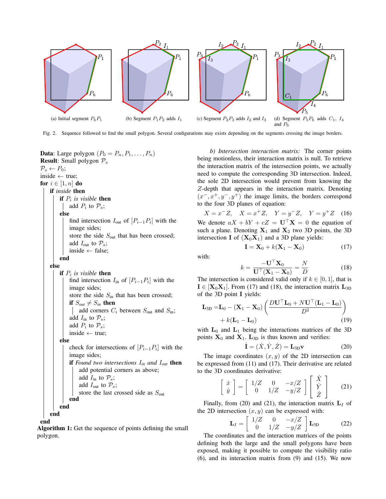

Fig. 2. Sequence followed to find the small polygon. Several configurations may exists depending on the segments crossing the image borders.

**Data:** Large polygon  $(P_0 = P_n, P_1, \ldots, P_n)$ **Result:** Small polygon  $P_s$  $\mathcal{P}_s \leftarrow P_0;$ inside  $\leftarrow$  true; for  $i \in [1, n]$  do if *inside* then **if**  $P_i$  is visible **then** add  $P_i$  to  $\mathcal{P}_s$ ; else find intersection  $I_{\text{out}}$  of  $[P_{i-1}P_i]$  with the image sides; store the side  $S_{\text{out}}$  that has been crossed; add  $I_{\text{out}}$  to  $\mathcal{P}_s$ ; inside ← false; end else **if**  $P_i$  is visible **then** find intersection  $I_{\text{in}}$  of  $[P_{i-1}P_i]$  with the image sides; store the side  $S_{\text{in}}$  that has been crossed; if  $S_{out} \neq S_{in}$  then add corners  $C_i$  between  $S_{\text{out}}$  and  $S_{\text{in}}$ ; add  $I_{\text{in}}$  to  $\mathcal{P}_s$ ; add  $P_i$  to  $\mathcal{P}_s$ ; inside ← true; else check for intersections of  $[P_{i-1}P_i]$  with the image sides; if *Found two intersections* I*in and* I*out* then add potential corners as above; add  $I_{\text{in}}$  to  $\mathcal{P}_s$ ; add  $I_{\text{out}}$  to  $\mathcal{P}_s$ ; store the last crossed side as  $S_{\text{out}}$ end end end

end

Algorithm 1: Get the sequence of points defining the small polygon.

*b) Intersection interaction matrix:* The corner points being motionless, their interaction matrix is null. To retrieve the interaction matrix of the intersection points, we actually need to compute the corresponding 3D intersection. Indeed, the sole 2D intersection would prevent from knowing the Z-depth that appears in the interaction matrix. Denoting  $(x^-, x^+, y^-, y^+)$  the image limits, the borders correspond to the four 3D planes of equation:

 $X = x^{-}Z$ ,  $X = x^{+}Z$ ,  $Y = y^{-}Z$ ,  $Y = y^{+}Z$  (16) We denote  $aX + bY + cZ = U^{\top}X = 0$  the equation of such a plane. Denoting  $X_1$  and  $X_2$  two 3D points, the 3D intersection I of  $(X_0X_1)$  and a 3D plane yields:

$$
\mathbf{I} = \mathbf{X}_0 + k(\mathbf{X}_1 - \mathbf{X}_0) \tag{17}
$$

with:

$$
k = \frac{-\mathbf{U}^{\top} \mathbf{X}_0}{\mathbf{U}^{\top} (\mathbf{X}_1 - \mathbf{X}_0)} = \frac{N}{D}
$$
(18)

The intersection is considered valid only if  $k \in [0, 1]$ , that is  $I \in [X_0X_1]$ . From (17) and (18), the interaction matrix  $L_{3D}$ of the 3D point I yields:

$$
\mathbf{L}_{3D} = \mathbf{L}_0 - (\mathbf{X}_1 - \mathbf{X}_0) \left( \frac{D \mathbf{U}^\top \mathbf{L}_0 + N \mathbf{U}^\top (\mathbf{L}_1 - \mathbf{L}_0)}{D^2} \right) + k(\mathbf{L}_1 - \mathbf{L}_0) \tag{19}
$$

with  $L_0$  and  $L_1$  being the interactions matrices of the 3D points  $X_0$  and  $X_1$ .  $L_{3D}$  is thus known and verifies:

$$
\dot{\mathbf{I}} = (\dot{X}, \dot{Y}, \dot{Z}) = \mathbf{L}_{3D} \mathbf{v}
$$
 (20)

The image coordinates  $(x, y)$  of the 2D intersection can be expressed from (11) and (17). Their derivative are related to the 3D coordinates derivative:

$$
\begin{bmatrix} \dot{x} \\ \dot{y} \end{bmatrix} = \begin{bmatrix} 1/Z & 0 & -x/Z \\ 0 & 1/Z & -y/Z \end{bmatrix} \begin{bmatrix} \dot{X} \\ \dot{Y} \\ \dot{Z} \end{bmatrix}
$$
 (21)

Finally, from (20) and (21), the interaction matrix  $L_I$  of the 2D intersection  $(x, y)$  can be expressed with:

$$
\mathbf{L}_I = \begin{bmatrix} 1/Z & 0 & -x/Z \\ 0 & 1/Z & -y/Z \end{bmatrix} \mathbf{L}_{3D} \tag{22}
$$

The coordinates and the interaction matrices of the points defining both the large and the small polygons have been exposed, making it possible to compute the visibility ratio (6), and its interaction matrix from (9) and (15). We now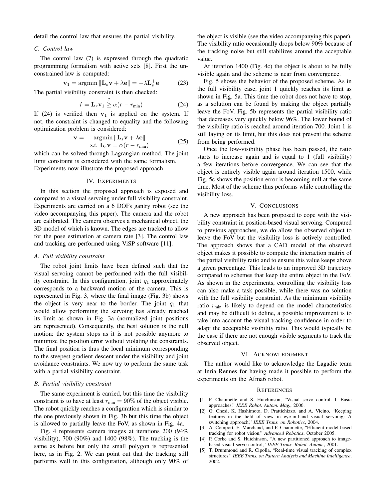detail the control law that ensures the partial visibility.

#### *C. Control law*

The control law (7) is expressed through the quadratic programming formalism with active sets [8]. First the unconstrained law is computed:

$$
\mathbf{v}_1 = \operatorname{argmin} \|\mathbf{L}_s \mathbf{v} + \lambda \mathbf{e}\| = -\lambda \mathbf{L}_s^+ \mathbf{e}
$$
 (23)

The partial visibility constraint is then checked:

$$
\dot{r} = \mathbf{L}_r \mathbf{v}_1 \stackrel{?}{\geq} \alpha (r - r_{\min}) \tag{24}
$$

If (24) is verified then  $v_1$  is applied on the system. If not, the constraint is changed to equality and the following optimization problem is considered:

$$
\mathbf{v} = \operatorname*{argmin}_{\mathbf{S}.\mathbf{t}.\mathbf{L}_r \mathbf{v}} \|\mathbf{L}_s \mathbf{v} + \lambda \mathbf{e}\|
$$
  
s.t.  $\mathbf{L}_r \mathbf{v} = \alpha(r - r_{\min})$  (25)

which can be solved through Lagrangian method. The joint limit constraint is considered with the same formalism. Experiments now illustrate the proposed approach.

#### IV. EXPERIMENTS

In this section the proposed approach is exposed and compared to a visual servoing under full visibility constraint. Experiments are carried on a 6 DOFs gantry robot (see the video accompanying this paper). The camera and the robot are calibrated. The camera observes a mechanical object, the 3D model of which is known. The edges are tracked to allow for the pose estimation at camera rate [3]. The control law and tracking are performed using ViSP software [11].

#### *A. Full visibility constraint*

The robot joint limits have been defined such that the visual servoing cannot be performed with the full visibility constraint. In this configuration, joint  $q_1$  approximately corresponds to a backward motion of the camera. This is represented in Fig. 3, where the final image (Fig. 3b) shows the object is very near to the border. The joint  $q_1$  that would allow performing the servoing has already reached its limit as shown in Fig. 3a (normalized joint positions are represented). Consequently, the best solution is the null motion: the system stops as it is not possible anymore to minimize the position error without violating the constraints. The final position is thus the local minimum corresponding to the steepest gradient descent under the visibility and joint avoidance constraints. We now try to perform the same task with a partial visibility constraint.

#### *B. Partial visibility constraint*

The same experiment is carried, but this time the visibility constraint is to have at least  $r_{\text{min}} = 90\%$  of the object visible. The robot quickly reaches a configuration which is similar to the one previously shown in Fig. 3b but this time the object is allowed to partially leave the FoV, as shown in Fig. 4a.

Fig. 4 represents camera images at iterations 200 (94% visibility), 700 (90%) and 1400 (98%). The tracking is the same as before but only the small polygon is represented here, as in Fig. 2. We can point out that the tracking still performs well in this configuration, although only 90% of the object is visible (see the video accompanying this paper). The visibility ratio occasionally drops below 90% because of the tracking noise but still stabilizes around the acceptable value.

At iteration 1400 (Fig. 4c) the object is about to be fully visible again and the scheme is near from convergence.

Fig. 5 shows the behavior of the proposed scheme. As in the full visibility case, joint 1 quickly reaches its limit as shown in Fig. 5a. This time the robot does not have to stop, as a solution can be found by making the object partially leave the FoV. Fig. 5b represents the partial visibility ratio that decreases very quickly below 96%. The lower bound of the visibility ratio is reached around iteration 700. Joint 1 is still laying on its limit, but this does not prevent the scheme from being performed.

Once the low-visibility phase has been passed, the ratio starts to increase again and is equal to 1 (full visibility) a few iterations before convergence. We can see that the object is entirely visible again around iteration 1500, while Fig. 5c shows the position error is becoming null at the same time. Most of the scheme thus performs while controlling the visibility loss.

#### V. CONCLUSIONS

A new approach has been proposed to cope with the visibility constraint in position-based visual servoing. Compared to previous approaches, we do allow the observed object to leave the FoV but the visibility loss is actively controlled. The approach shows that a CAD model of the observed object makes it possible to compute the interaction matrix of the partial visibility ratio and to ensure this value keeps above a given percentage. This leads to an improved 3D trajectory compared to schemes that keep the entire object in the FoV. As shown in the experiments, controlling the visibility loss can also make a task possible, while there was no solution with the full visibility constraint. As the minimum visibility ratio  $r_{\text{min}}$  is likely to depend on the model characteristics and may be difficult to define, a possible improvement is to take into account the visual tracking confidence in order to adapt the acceptable visibility ratio. This would typically be the case if there are not enough visible segments to track the observed object.

#### VI. ACKNOWLEDGMENT

The author would like to acknowledge the Lagadic team at Inria Rennes for having made it possible to perform the experiments on the Afma6 robot.

#### **REFERENCES**

- [1] F. Chaumette and S. Hutchinson, "Visual servo control. I. Basic approaches," *IEEE Robot. Autom. Mag.*, 2006.
- [2] G. Chesi, K. Hashimoto, D. Prattichizzo, and A. Vicino, "Keeping features in the field of view in eye-in-hand visual servoing: A switching approach," *IEEE Trans. on Robotics*, 2004.
- [3] A. Comport, E. Marchand, and F. Chaumette, "Efficient model-based tracking for robot vision," *Advanced Robotics*, October 2005.
- [4] P. Corke and S. Hutchinson, "A new partitioned approach to imagebased visual servo control," *IEEE Trans. Robot. Autom.*, 2001.
- [5] T. Drummond and R. Cipolla, "Real-time visual tracking of complex structures," *IEEE Trans. on Pattern Analysis and Machine Intelligence*, 2002.